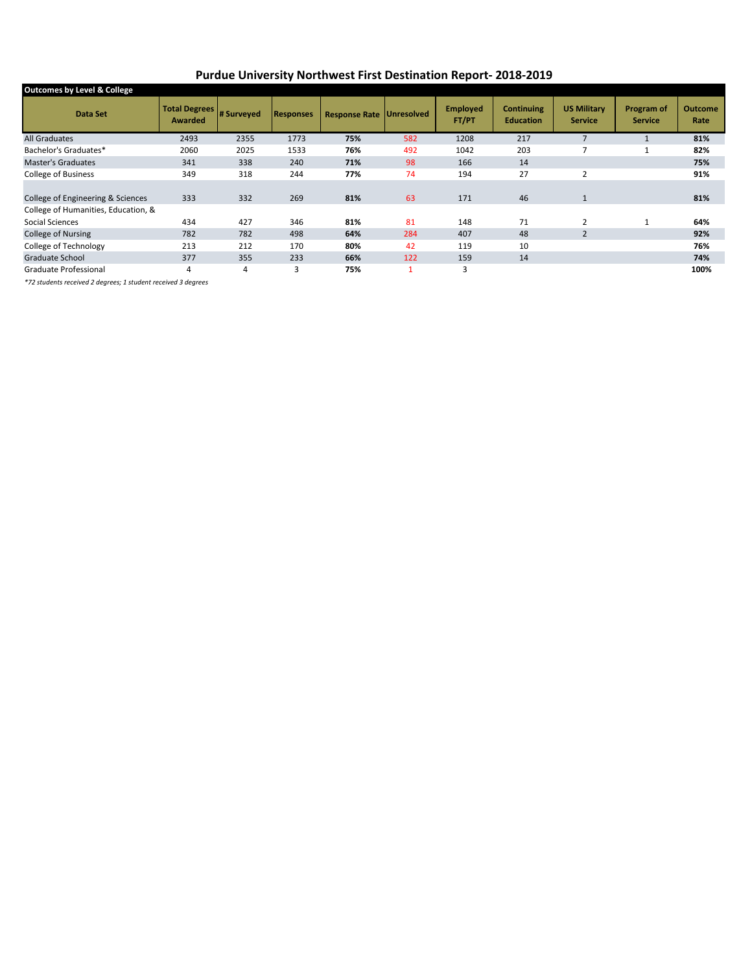## **Purdue University Northwest First Destination Report- 2018-2019**

| <b>Outcomes by Level &amp; College</b> |                                 |            |                  |                                 |                |                          |                                       |                                      |                              |                        |
|----------------------------------------|---------------------------------|------------|------------------|---------------------------------|----------------|--------------------------|---------------------------------------|--------------------------------------|------------------------------|------------------------|
| Data Set                               | <b>Total Degrees</b><br>Awarded | # Surveyed | <b>Responses</b> | <b>Response Rate Unresolved</b> |                | <b>Employed</b><br>FT/PT | <b>Continuing</b><br><b>Education</b> | <b>US Military</b><br><b>Service</b> | Program of<br><b>Service</b> | <b>Outcome</b><br>Rate |
| <b>All Graduates</b>                   | 2493                            | 2355       | 1773             | 75%                             | 582            | 1208                     | 217                                   |                                      |                              | 81%                    |
| Bachelor's Graduates*                  | 2060                            | 2025       | 1533             | 76%                             | 492            | 1042                     | 203                                   |                                      |                              | 82%                    |
| <b>Master's Graduates</b>              | 341                             | 338        | 240              | 71%                             | 98             | 166                      | 14                                    |                                      |                              | 75%                    |
| <b>College of Business</b>             | 349                             | 318        | 244              | 77%                             | 74             | 194                      | 27                                    | $\overline{2}$                       |                              | 91%                    |
|                                        |                                 |            |                  |                                 |                |                          |                                       |                                      |                              |                        |
| College of Engineering & Sciences      | 333                             | 332        | 269              | 81%                             | 63             | 171                      | 46                                    | $\mathbf{1}$                         |                              | 81%                    |
| College of Humanities, Education, &    |                                 |            |                  |                                 |                |                          |                                       |                                      |                              |                        |
| Social Sciences                        | 434                             | 427        | 346              | 81%                             | 81             | 148                      | 71                                    | 2                                    |                              | 64%                    |
| College of Nursing                     | 782                             | 782        | 498              | 64%                             | 284            | 407                      | 48                                    | $\overline{2}$                       |                              | 92%                    |
| College of Technology                  | 213                             | 212        | 170              | 80%                             | 42             | 119                      | 10                                    |                                      |                              | 76%                    |
| Graduate School                        | 377                             | 355        | 233              | 66%                             | 122            | 159                      | 14                                    |                                      |                              | 74%                    |
| Graduate Professional                  | 4                               | 4          | 3                | 75%                             | $\overline{ }$ | 3                        |                                       |                                      |                              | 100%                   |
|                                        |                                 |            |                  |                                 |                |                          |                                       |                                      |                              |                        |

*\*72 students received 2 degrees; 1 student received 3 degrees*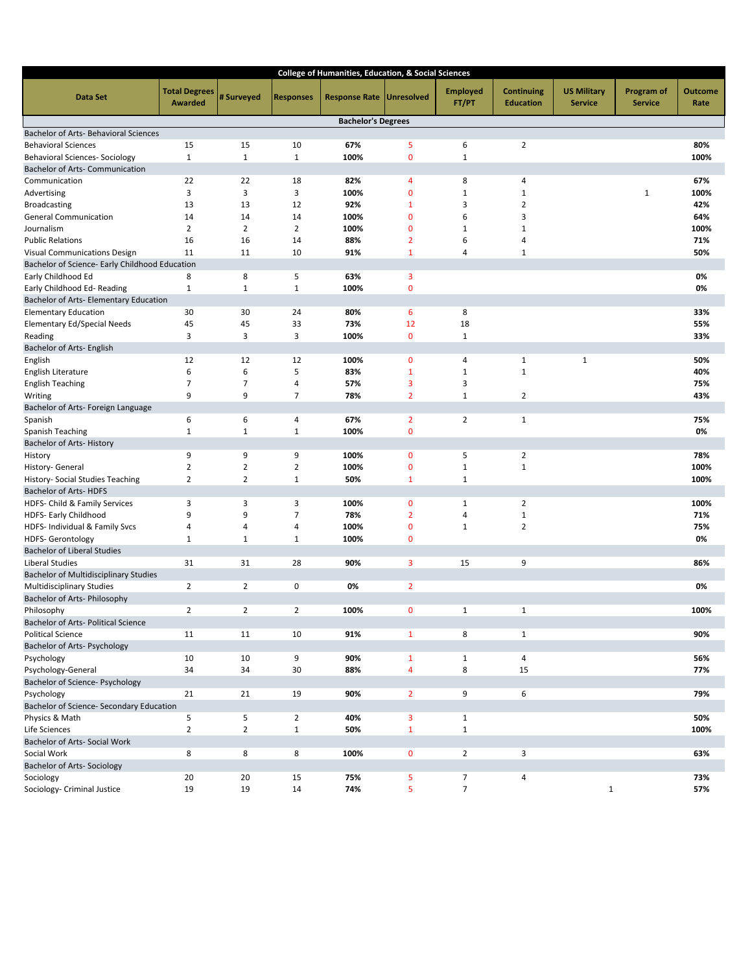|                                                |                                 |                |                  | College of Humanities, Education, & Social Sciences |                   |                          |                                       |                                      |                              |                        |
|------------------------------------------------|---------------------------------|----------------|------------------|-----------------------------------------------------|-------------------|--------------------------|---------------------------------------|--------------------------------------|------------------------------|------------------------|
| Data Set                                       | <b>Total Degrees</b><br>Awarded | # Surveyed     | <b>Responses</b> | <b>Response Rate</b>                                | <b>Unresolved</b> | <b>Employed</b><br>FT/PT | <b>Continuing</b><br><b>Education</b> | <b>US Military</b><br><b>Service</b> | Program of<br><b>Service</b> | <b>Outcome</b><br>Rate |
|                                                |                                 |                |                  | <b>Bachelor's Degrees</b>                           |                   |                          |                                       |                                      |                              |                        |
| <b>Bachelor of Arts- Behavioral Sciences</b>   |                                 |                |                  |                                                     |                   |                          |                                       |                                      |                              |                        |
| <b>Behavioral Sciences</b>                     | 15                              | 15             | 10               | 67%                                                 | 5                 | 6                        | $\overline{2}$                        |                                      |                              | 80%                    |
| <b>Behavioral Sciences- Sociology</b>          | $\mathbf{1}$                    | $1\,$          | $\mathbf{1}$     | 100%                                                | $\mathbf 0$       | $\mathbf{1}$             |                                       |                                      |                              | 100%                   |
| Bachelor of Arts- Communication                |                                 |                |                  |                                                     |                   |                          |                                       |                                      |                              |                        |
| Communication                                  | 22                              | 22             | 18               | 82%                                                 | 4                 | 8                        | 4                                     |                                      |                              | 67%                    |
| Advertising                                    | 3                               | 3              | 3                | 100%                                                | $\mathbf 0$       | $\mathbf 1$              | $\mathbf 1$                           |                                      | $\mathbf{1}$                 | 100%                   |
| <b>Broadcasting</b>                            | 13                              | 13             | 12               | 92%                                                 | $\mathbf{1}$      | 3                        | 2                                     |                                      |                              | 42%                    |
| <b>General Communication</b>                   | 14                              | 14             | 14               | 100%                                                | $\mathbf{0}$      | 6                        | 3                                     |                                      |                              | 64%                    |
| Journalism                                     | $\overline{2}$                  | $\overline{2}$ | $\overline{2}$   | 100%                                                | $\mathbf 0$       | $\mathbf{1}$             | $\mathbf 1$                           |                                      |                              | 100%                   |
| <b>Public Relations</b>                        | 16                              | 16             | 14               | 88%                                                 | $\overline{2}$    | 6                        | 4                                     |                                      |                              | 71%                    |
| Visual Communications Design                   | 11                              | 11             | 10               | 91%                                                 | $\mathbf{1}$      | 4                        | $\mathbf 1$                           |                                      |                              | 50%                    |
| Bachelor of Science- Early Childhood Education |                                 |                |                  |                                                     |                   |                          |                                       |                                      |                              |                        |
| Early Childhood Ed                             | 8                               | 8              | 5                | 63%                                                 | 3                 |                          |                                       |                                      |                              | 0%                     |
| Early Childhood Ed-Reading                     | 1                               | $\mathbf 1$    | $\mathbf{1}$     | 100%                                                | $\mathbf{0}$      |                          |                                       |                                      |                              | 0%                     |
| Bachelor of Arts- Elementary Education         |                                 |                |                  |                                                     |                   |                          |                                       |                                      |                              |                        |
| <b>Elementary Education</b>                    | 30                              | 30             | 24               | 80%                                                 | 6                 | 8                        |                                       |                                      |                              | 33%                    |
| <b>Elementary Ed/Special Needs</b>             | 45                              | 45             | 33               | 73%                                                 | 12                | 18                       |                                       |                                      |                              | 55%                    |
| Reading                                        | 3                               | 3              | 3                | 100%                                                | $\mathbf 0$       | $\mathbf 1$              |                                       |                                      |                              | 33%                    |
| Bachelor of Arts- English                      |                                 |                |                  |                                                     |                   |                          |                                       |                                      |                              |                        |
| English                                        | 12                              | 12             | 12               | 100%                                                | $\mathbf 0$       | 4                        | $\mathbf 1$                           | $\mathbf 1$                          |                              | 50%                    |
| English Literature                             | 6                               | 6              | 5                | 83%                                                 | $\mathbf{1}$      | $\mathbf{1}$             | $\mathbf 1$                           |                                      |                              | 40%                    |
| <b>English Teaching</b>                        | 7                               | 7              | 4                | 57%                                                 | 3                 | 3                        |                                       |                                      |                              | 75%                    |
| Writing                                        | 9                               | 9              | $\overline{7}$   | 78%                                                 | $\overline{2}$    | $\mathbf{1}$             | $\overline{2}$                        |                                      |                              | 43%                    |
| Bachelor of Arts- Foreign Language             |                                 |                |                  |                                                     |                   |                          |                                       |                                      |                              |                        |
| Spanish                                        | 6                               | 6              | 4                | 67%                                                 | $\overline{2}$    | $\overline{2}$           | $\mathbf{1}$                          |                                      |                              | 75%                    |
| Spanish Teaching                               | $\mathbf{1}$                    | $1\,$          | $\mathbf{1}$     | 100%                                                | $\mathbf 0$       |                          |                                       |                                      |                              | 0%                     |
| Bachelor of Arts-History                       |                                 |                |                  |                                                     |                   |                          |                                       |                                      |                              |                        |
| History                                        | 9                               | 9              | 9                | 100%                                                | $\mathbf 0$       | 5                        | 2                                     |                                      |                              | 78%                    |
| History- General                               | $\overline{2}$                  | $\overline{2}$ | $\overline{2}$   | 100%                                                | $\mathbf 0$       | $\mathbf 1$              | $\mathbf{1}$                          |                                      |                              | 100%                   |
| History- Social Studies Teaching               | $\overline{2}$                  | $\overline{2}$ | $\mathbf{1}$     | 50%                                                 | $\mathbf{1}$      | $\mathbf{1}$             |                                       |                                      |                              | 100%                   |
| Bachelor of Arts-HDFS                          |                                 |                |                  |                                                     |                   |                          |                                       |                                      |                              |                        |
| HDFS- Child & Family Services                  | 3                               | 3              | 3                | 100%                                                | $\mathbf 0$       | $\mathbf{1}$             | 2                                     |                                      |                              | 100%                   |
| HDFS- Early Childhood                          | 9                               | 9              | 7                | 78%                                                 | $\overline{2}$    | 4                        | $\mathbf 1$                           |                                      |                              | 71%                    |
| HDFS- Individual & Family Svcs                 | 4                               | $\overline{4}$ | 4                | 100%                                                | $\mathbf 0$       | $\mathbf{1}$             | $\overline{2}$                        |                                      |                              | 75%                    |
| <b>HDFS-Gerontology</b>                        | 1                               | 1              | $\mathbf{1}$     | 100%                                                | $\mathbf 0$       |                          |                                       |                                      |                              | 0%                     |
| <b>Bachelor of Liberal Studies</b>             |                                 |                |                  |                                                     |                   |                          |                                       |                                      |                              |                        |
| Liberal Studies                                | 31                              | 31             | 28               | 90%                                                 | 3                 | 15                       | 9                                     |                                      |                              | 86%                    |
| <b>Bachelor of Multidisciplinary Studies</b>   |                                 |                |                  |                                                     |                   |                          |                                       |                                      |                              |                        |
| <b>Multidisciplinary Studies</b>               | $\overline{2}$                  | $\overline{2}$ | 0                | 0%                                                  | $\overline{2}$    |                          |                                       |                                      |                              | 0%                     |
| Bachelor of Arts- Philosophy                   |                                 |                |                  |                                                     |                   |                          |                                       |                                      |                              |                        |
| Philosophy                                     | $\overline{2}$                  | $\overline{2}$ | $\overline{2}$   | 100%                                                | $\mathbf{0}$      | $\mathbf{1}$             | $\mathbf{1}$                          |                                      |                              | 100%                   |
| Bachelor of Arts- Political Science            |                                 |                |                  |                                                     |                   |                          |                                       |                                      |                              |                        |
| <b>Political Science</b>                       | 11                              | 11             | 10               | 91%                                                 | $\mathbf{1}$      | 8                        | $\mathbf{1}$                          |                                      |                              | 90%                    |
| <b>Bachelor of Arts- Psychology</b>            |                                 |                |                  |                                                     |                   |                          |                                       |                                      |                              |                        |
| Psychology                                     | 10                              | 10             | 9                | 90%                                                 | $\mathbf{1}$      | $\mathbf{1}$             | $\sqrt{4}$                            |                                      |                              | 56%                    |
| Psychology-General                             | 34                              | 34             | 30               | 88%                                                 | $\overline{4}$    | 8                        | 15                                    |                                      |                              | 77%                    |
| Bachelor of Science- Psychology                |                                 |                |                  |                                                     |                   |                          |                                       |                                      |                              |                        |
| Psychology                                     | 21                              | 21             | 19               | 90%                                                 | $\overline{2}$    | 9                        | 6                                     |                                      |                              | 79%                    |
| Bachelor of Science- Secondary Education       |                                 |                |                  |                                                     |                   |                          |                                       |                                      |                              |                        |
| Physics & Math                                 | 5                               | 5              | $\overline{2}$   | 40%                                                 | 3                 | $\mathbf{1}$             |                                       |                                      |                              | 50%                    |
| Life Sciences                                  | $\overline{2}$                  | $\overline{2}$ | $\mathbf{1}$     | 50%                                                 | $\mathbf{1}$      | $\mathbf{1}$             |                                       |                                      |                              | 100%                   |
| Bachelor of Arts- Social Work                  |                                 |                |                  |                                                     |                   |                          |                                       |                                      |                              |                        |
| Social Work                                    | 8                               | 8              | 8                | 100%                                                | $\mathbf 0$       | $\overline{2}$           | 3                                     |                                      |                              | 63%                    |
| <b>Bachelor of Arts- Sociology</b>             |                                 |                |                  |                                                     |                   |                          |                                       |                                      |                              |                        |
| Sociology                                      | 20                              | 20             | 15               | 75%                                                 | 5                 | $\overline{7}$           | 4                                     |                                      |                              | 73%                    |
| Sociology- Criminal Justice                    | 19                              | 19             | 14               | 74%                                                 | 5                 | $\overline{7}$           |                                       | $\mathbf{1}$                         |                              | 57%                    |
|                                                |                                 |                |                  |                                                     |                   |                          |                                       |                                      |                              |                        |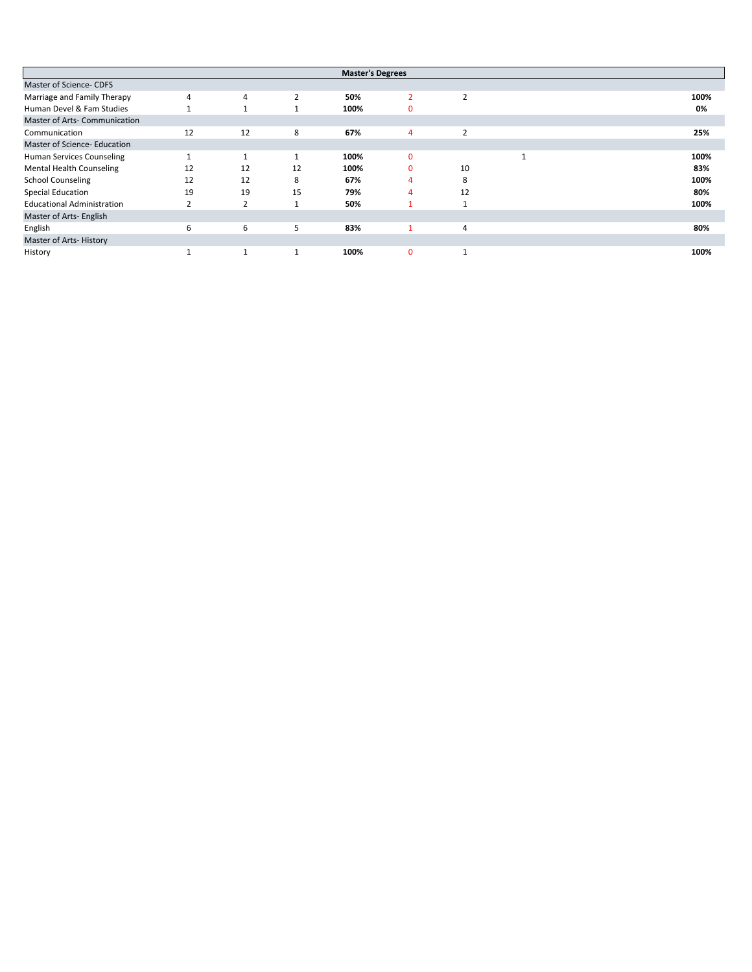|                                   |                          |                |    | <b>Master's Degrees</b> |          |               |      |
|-----------------------------------|--------------------------|----------------|----|-------------------------|----------|---------------|------|
| Master of Science- CDFS           |                          |                |    |                         |          |               |      |
| Marriage and Family Therapy       | $\overline{4}$           | 4              |    | 50%                     |          | 2             | 100% |
| Human Devel & Fam Studies         |                          |                |    | 100%                    | O        |               | 0%   |
| Master of Arts- Communication     |                          |                |    |                         |          |               |      |
| Communication                     | 12                       | 12             | 8  | 67%                     | 4        | $\mathcal{P}$ | 25%  |
| Master of Science- Education      |                          |                |    |                         |          |               |      |
| Human Services Counseling         |                          |                | 1  | 100%                    | $\Omega$ |               | 100% |
| <b>Mental Health Counseling</b>   | 12                       | 12             | 12 | 100%                    |          | 10            | 83%  |
| <b>School Counseling</b>          | 12                       | 12             | 8  | 67%                     |          | 8             | 100% |
| Special Education                 | 19                       | 19             | 15 | 79%                     |          | 12            | 80%  |
| <b>Educational Administration</b> | $\overline{\phantom{0}}$ | $\overline{2}$ |    | 50%                     |          |               | 100% |
| Master of Arts- English           |                          |                |    |                         |          |               |      |
| English                           | 6                        | 6              | 5  | 83%                     |          | 4             | 80%  |
| Master of Arts-History            |                          |                |    |                         |          |               |      |
| History                           |                          |                |    | 100%                    | $\Omega$ |               | 100% |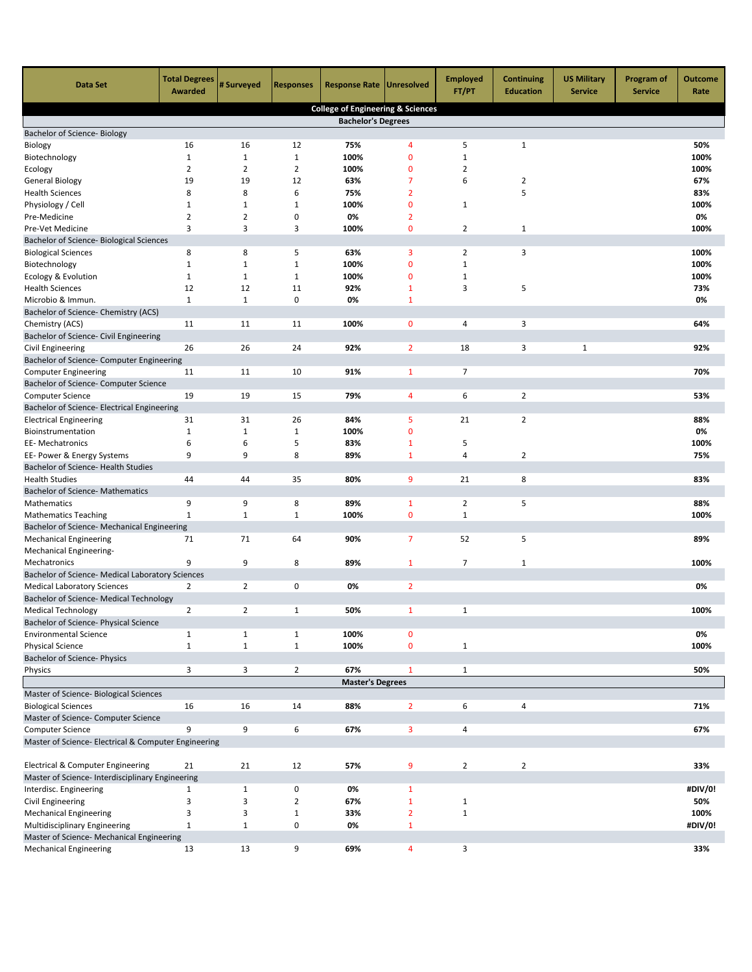| <b>Data Set</b>                                                       | <b>Total Degrees</b><br>Awarded | # Surveyed     | <b>Responses</b>  | <b>Response Rate   Unresolved</b>            |                | <b>Employed</b><br>FT/PT | <b>Continuing</b><br><b>Education</b> | <b>US Military</b><br><b>Service</b> | <b>Program of</b><br><b>Service</b> | <b>Outcome</b><br>Rate |
|-----------------------------------------------------------------------|---------------------------------|----------------|-------------------|----------------------------------------------|----------------|--------------------------|---------------------------------------|--------------------------------------|-------------------------------------|------------------------|
|                                                                       |                                 |                |                   | <b>College of Engineering &amp; Sciences</b> |                |                          |                                       |                                      |                                     |                        |
|                                                                       |                                 |                |                   | <b>Bachelor's Degrees</b>                    |                |                          |                                       |                                      |                                     |                        |
| Bachelor of Science- Biology                                          |                                 |                |                   |                                              |                |                          |                                       |                                      |                                     |                        |
| Biology                                                               | 16                              | 16             | 12                | 75%                                          | $\overline{4}$ | 5                        | $\mathbf{1}$                          |                                      |                                     | 50%                    |
| Biotechnology                                                         | $\mathbf{1}$                    | $\mathbf{1}$   | $\mathbf 1$       | 100%                                         | $\mathbf{0}$   | $\mathbf{1}$             |                                       |                                      |                                     | 100%                   |
| Ecology                                                               | $\overline{2}$                  | $\overline{2}$ | $\overline{2}$    | 100%                                         | 0              | 2                        |                                       |                                      |                                     | 100%                   |
| <b>General Biology</b>                                                | 19                              | 19             | 12                | 63%                                          | 7              | 6                        | $\overline{2}$                        |                                      |                                     | 67%                    |
| <b>Health Sciences</b>                                                | 8                               | 8              | 6                 | 75%                                          | $\overline{2}$ |                          | 5                                     |                                      |                                     | 83%                    |
| Physiology / Cell                                                     | 1                               | 1              | $\mathbf{1}$      | 100%                                         | 0              | 1                        |                                       |                                      |                                     | 100%                   |
| Pre-Medicine                                                          | 2                               | $\overline{2}$ | 0                 | 0%                                           | $\overline{2}$ |                          |                                       |                                      |                                     | 0%                     |
| Pre-Vet Medicine                                                      | 3                               | 3              | 3                 | 100%                                         | $\mathbf{0}$   | 2                        | $\mathbf 1$                           |                                      |                                     | 100%                   |
| Bachelor of Science- Biological Sciences                              |                                 | 8              |                   |                                              | 3              | $\overline{2}$           |                                       |                                      |                                     | 100%                   |
| <b>Biological Sciences</b>                                            | 8<br>$\mathbf{1}$               | $\mathbf{1}$   | 5<br>$\mathbf{1}$ | 63%                                          | $\mathbf 0$    | $\mathbf{1}$             | 3                                     |                                      |                                     | 100%                   |
| Biotechnology                                                         | $\mathbf{1}$                    | $\mathbf 1$    | $\mathbf{1}$      | 100%<br>100%                                 | 0              | $\mathbf{1}$             |                                       |                                      |                                     | 100%                   |
| Ecology & Evolution<br><b>Health Sciences</b>                         | 12                              | 12             | 11                | 92%                                          | $\mathbf{1}$   | 3                        | 5                                     |                                      |                                     | 73%                    |
| Microbio & Immun.                                                     | $\mathbf{1}$                    | $\mathbf{1}$   | $\mathsf 0$       | 0%                                           | $\mathbf{1}$   |                          |                                       |                                      |                                     | 0%                     |
| Bachelor of Science- Chemistry (ACS)                                  |                                 |                |                   |                                              |                |                          |                                       |                                      |                                     |                        |
| Chemistry (ACS)                                                       | 11                              | 11             | 11                | 100%                                         | $\mathbf 0$    | 4                        | 3                                     |                                      |                                     | 64%                    |
| Bachelor of Science- Civil Engineering                                |                                 |                |                   |                                              |                |                          |                                       |                                      |                                     |                        |
| Civil Engineering                                                     | 26                              | 26             | 24                | 92%                                          | $\overline{2}$ | 18                       | 3                                     | 1                                    |                                     | 92%                    |
| Bachelor of Science- Computer Engineering                             |                                 |                |                   |                                              |                |                          |                                       |                                      |                                     |                        |
| <b>Computer Engineering</b>                                           | 11                              | 11             | 10                | 91%                                          | $\mathbf{1}$   | $\overline{7}$           |                                       |                                      |                                     | 70%                    |
| Bachelor of Science- Computer Science                                 |                                 |                |                   |                                              |                |                          |                                       |                                      |                                     |                        |
| <b>Computer Science</b>                                               | 19                              | 19             | 15                | 79%                                          | 4              | 6                        | 2                                     |                                      |                                     | 53%                    |
| Bachelor of Science- Electrical Engineering                           |                                 |                |                   |                                              |                |                          |                                       |                                      |                                     |                        |
| <b>Electrical Engineering</b>                                         | 31                              | 31             | 26                | 84%                                          | 5              | 21                       | $\overline{2}$                        |                                      |                                     | 88%                    |
| Bioinstrumentation                                                    | $\mathbf{1}$                    | $\mathbf{1}$   | $\mathbf 1$       | 100%                                         | $\mathbf{0}$   |                          |                                       |                                      |                                     | 0%                     |
| <b>EE-Mechatronics</b>                                                | 6                               | 6              | 5                 | 83%                                          | $\mathbf{1}$   | 5                        |                                       |                                      |                                     | 100%                   |
| EE- Power & Energy Systems                                            | 9                               | 9              | 8                 | 89%                                          | $\mathbf{1}$   | $\sqrt{4}$               | $\overline{2}$                        |                                      |                                     | 75%                    |
| Bachelor of Science- Health Studies                                   |                                 |                |                   |                                              |                |                          |                                       |                                      |                                     |                        |
| <b>Health Studies</b>                                                 | 44                              | 44             | 35                | 80%                                          | 9              | 21                       | 8                                     |                                      |                                     | 83%                    |
| <b>Bachelor of Science- Mathematics</b>                               |                                 |                |                   |                                              |                |                          |                                       |                                      |                                     |                        |
| Mathematics                                                           | 9                               | 9              | 8                 | 89%                                          | $\mathbf{1}$   | $\overline{2}$           | 5                                     |                                      |                                     | 88%                    |
| <b>Mathematics Teaching</b>                                           | $\mathbf{1}$                    | $\mathbf{1}$   | $\mathbf{1}$      | 100%                                         | $\mathbf 0$    | $\mathbf{1}$             |                                       |                                      |                                     | 100%                   |
| Bachelor of Science- Mechanical Engineering                           |                                 |                |                   |                                              |                |                          |                                       |                                      |                                     |                        |
| <b>Mechanical Engineering</b>                                         | 71                              | 71             | 64                | 90%                                          | $\overline{7}$ | 52                       | 5                                     |                                      |                                     | 89%                    |
| Mechanical Engineering-                                               |                                 |                |                   |                                              |                |                          |                                       |                                      |                                     |                        |
| Mechatronics                                                          | 9                               | 9              | 8                 | 89%                                          | $\mathbf{1}$   | 7                        | $\mathbf{1}$                          |                                      |                                     | 100%                   |
| Bachelor of Science- Medical Laboratory Sciences                      |                                 |                |                   |                                              |                |                          |                                       |                                      |                                     |                        |
| <b>Medical Laboratory Sciences</b>                                    | 2                               | $\overline{2}$ | 0                 | 0%                                           | $\overline{2}$ |                          |                                       |                                      |                                     | 0%                     |
| Bachelor of Science- Medical Technology                               |                                 |                |                   |                                              |                |                          |                                       |                                      |                                     |                        |
| <b>Medical Technology</b>                                             | $\overline{2}$                  | 2              | 1                 | 50%                                          | 1              | 1                        |                                       |                                      |                                     | 100%                   |
| Bachelor of Science- Physical Science<br><b>Environmental Science</b> | $\mathbf{1}$                    | $\mathbf{1}$   | $\mathbf{1}$      | 100%                                         | $\mathbf 0$    |                          |                                       |                                      |                                     | 0%                     |
| <b>Physical Science</b>                                               | $\mathbf{1}$                    | $\mathbf{1}$   | $\mathbf 1$       | 100%                                         | $\pmb{0}$      | $\mathbf{1}$             |                                       |                                      |                                     | 100%                   |
| Bachelor of Science- Physics                                          |                                 |                |                   |                                              |                |                          |                                       |                                      |                                     |                        |
| Physics                                                               | 3                               | 3              | $\overline{2}$    | 67%                                          | $\mathbf{1}$   | $\mathbf{1}$             |                                       |                                      |                                     | 50%                    |
|                                                                       |                                 |                |                   | <b>Master's Degrees</b>                      |                |                          |                                       |                                      |                                     |                        |
| Master of Science- Biological Sciences                                |                                 |                |                   |                                              |                |                          |                                       |                                      |                                     |                        |
| <b>Biological Sciences</b>                                            | 16                              | 16             | 14                | 88%                                          | $\overline{2}$ | 6                        | 4                                     |                                      |                                     | 71%                    |
| Master of Science- Computer Science                                   |                                 |                |                   |                                              |                |                          |                                       |                                      |                                     |                        |
| <b>Computer Science</b>                                               | 9                               | 9              | 6                 | 67%                                          | 3              | 4                        |                                       |                                      |                                     | 67%                    |
| Master of Science- Electrical & Computer Engineering                  |                                 |                |                   |                                              |                |                          |                                       |                                      |                                     |                        |
|                                                                       |                                 |                |                   |                                              |                |                          |                                       |                                      |                                     |                        |
| Electrical & Computer Engineering                                     | 21                              | 21             | 12                | 57%                                          | 9              | $\overline{2}$           | $\overline{2}$                        |                                      |                                     | 33%                    |
| Master of Science- Interdisciplinary Engineering                      |                                 |                |                   |                                              |                |                          |                                       |                                      |                                     |                        |
| Interdisc. Engineering                                                | $\mathbf{1}$                    | $\mathbf{1}$   | $\mathsf 0$       | 0%                                           | $\mathbf{1}$   |                          |                                       |                                      |                                     | #DIV/0!                |
| Civil Engineering                                                     | 3                               | 3              | $\overline{2}$    | 67%                                          | $\mathbf 1$    | $\mathbf{1}$             |                                       |                                      |                                     | 50%                    |
| <b>Mechanical Engineering</b>                                         | 3                               | 3              | $\mathbf{1}$      | 33%                                          | $\overline{2}$ | $\mathbf{1}$             |                                       |                                      |                                     | 100%                   |
| Multidisciplinary Engineering                                         | $\mathbf{1}$                    | $\mathbf{1}$   | $\pmb{0}$         | 0%                                           | $\mathbf{1}$   |                          |                                       |                                      |                                     | #DIV/0!                |
| Master of Science- Mechanical Engineering                             |                                 |                |                   |                                              |                |                          |                                       |                                      |                                     |                        |
| <b>Mechanical Engineering</b>                                         | 13                              | 13             | 9                 | 69%                                          | 4              | 3                        |                                       |                                      |                                     | 33%                    |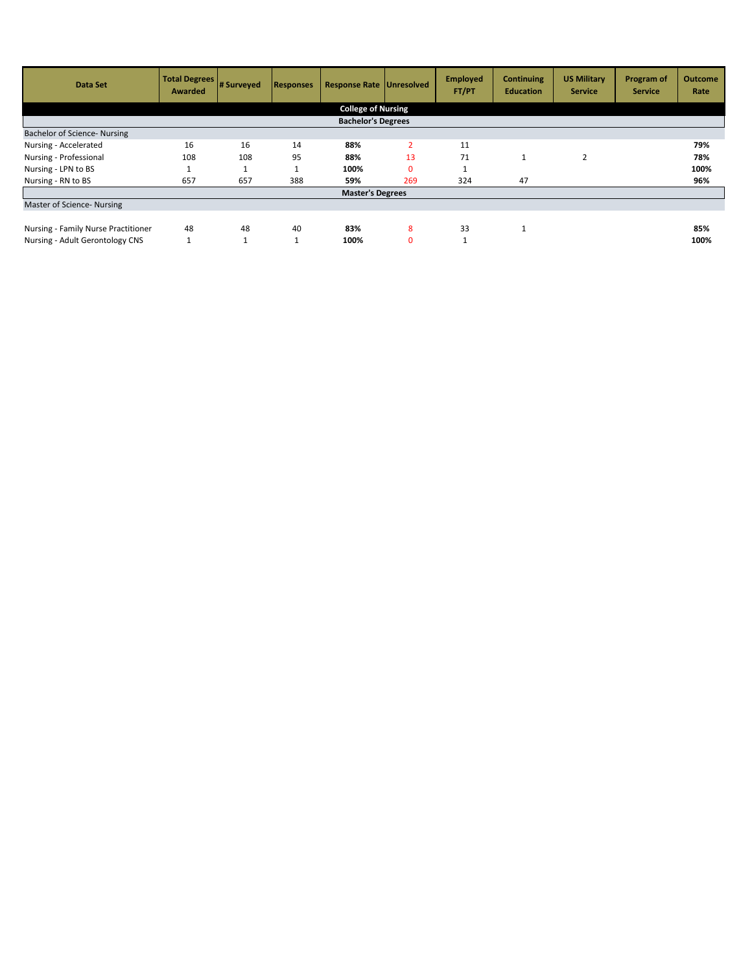| Data Set                            | <b>Total Degrees</b><br>Awarded | # Surveyed | <b>Responses</b> | <b>Response Rate Unresolved</b> |                | <b>Employed</b><br>FT/PT | <b>Continuing</b><br><b>Education</b> | <b>US Military</b><br><b>Service</b> | Program of<br><b>Service</b> | <b>Outcome</b><br>Rate |  |
|-------------------------------------|---------------------------------|------------|------------------|---------------------------------|----------------|--------------------------|---------------------------------------|--------------------------------------|------------------------------|------------------------|--|
| <b>College of Nursing</b>           |                                 |            |                  |                                 |                |                          |                                       |                                      |                              |                        |  |
| <b>Bachelor's Degrees</b>           |                                 |            |                  |                                 |                |                          |                                       |                                      |                              |                        |  |
| <b>Bachelor of Science- Nursing</b> |                                 |            |                  |                                 |                |                          |                                       |                                      |                              |                        |  |
| Nursing - Accelerated               | 16                              | 16         | 14               | 88%                             | $\overline{2}$ | 11                       |                                       |                                      |                              | 79%                    |  |
| Nursing - Professional              | 108                             | 108        | 95               | 88%                             | 13             | 71                       | T                                     | $\overline{2}$                       |                              | 78%                    |  |
| Nursing - LPN to BS                 |                                 |            |                  | 100%                            | 0              |                          |                                       |                                      |                              | 100%                   |  |
| Nursing - RN to BS                  | 657                             | 657        | 388              | 59%                             | 269            | 324                      | 47                                    |                                      |                              | 96%                    |  |
|                                     |                                 |            |                  | <b>Master's Degrees</b>         |                |                          |                                       |                                      |                              |                        |  |
| Master of Science- Nursing          |                                 |            |                  |                                 |                |                          |                                       |                                      |                              |                        |  |
|                                     |                                 |            |                  |                                 |                |                          |                                       |                                      |                              |                        |  |
| Nursing - Family Nurse Practitioner | 48                              | 48         | 40               | 83%                             | 8              | 33                       |                                       |                                      |                              | 85%                    |  |
| Nursing - Adult Gerontology CNS     |                                 |            | $\mathbf{A}$     | 100%                            | $\mathbf{0}$   |                          |                                       |                                      |                              | 100%                   |  |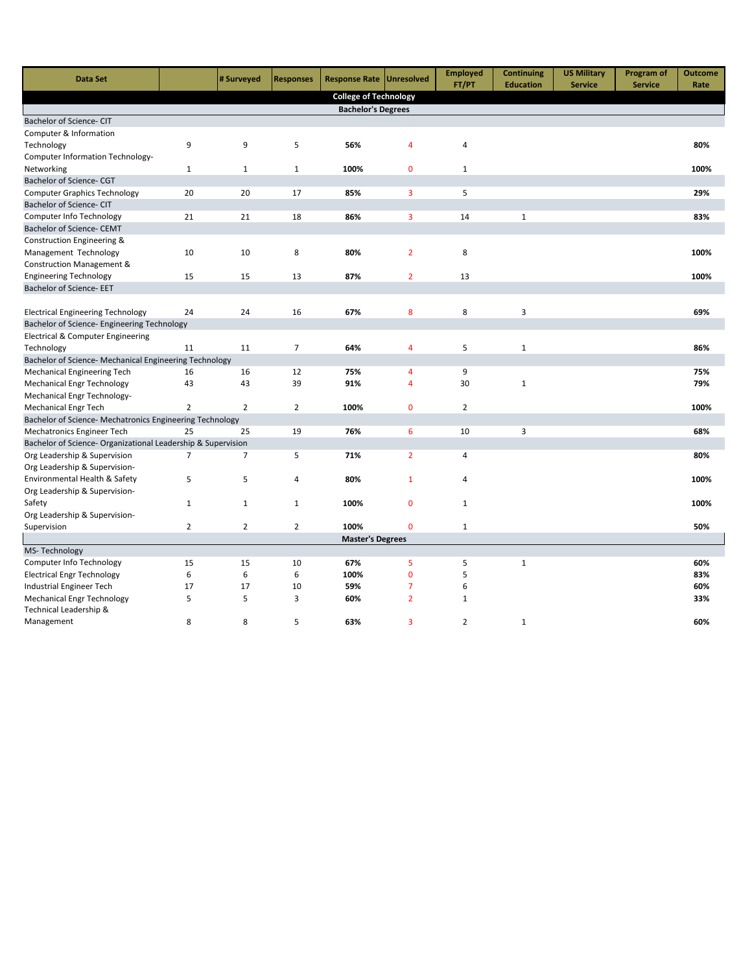| <b>Data Set</b>                                              |                | # Surveyed     | <b>Responses</b> | Response Rate   Unresolved   |                | <b>Employed</b><br>FT/PT | <b>Continuing</b><br><b>Education</b> | <b>US Military</b><br><b>Service</b> | Program of<br><b>Service</b> | <b>Outcome</b><br>Rate |
|--------------------------------------------------------------|----------------|----------------|------------------|------------------------------|----------------|--------------------------|---------------------------------------|--------------------------------------|------------------------------|------------------------|
|                                                              |                |                |                  | <b>College of Technology</b> |                |                          |                                       |                                      |                              |                        |
|                                                              |                |                |                  | <b>Bachelor's Degrees</b>    |                |                          |                                       |                                      |                              |                        |
| Bachelor of Science- CIT                                     |                |                |                  |                              |                |                          |                                       |                                      |                              |                        |
| Computer & Information                                       |                |                |                  |                              |                |                          |                                       |                                      |                              |                        |
| Technology                                                   | 9              | 9              | 5                | 56%                          | $\overline{4}$ | 4                        |                                       |                                      |                              | 80%                    |
| Computer Information Technology-                             |                |                |                  |                              |                |                          |                                       |                                      |                              |                        |
| Networking                                                   | $\mathbf{1}$   | $\mathbf{1}$   | $\mathbf{1}$     | 100%                         | $\mathbf{0}$   | $\mathbf{1}$             |                                       |                                      |                              | 100%                   |
| Bachelor of Science- CGT                                     |                |                |                  |                              |                |                          |                                       |                                      |                              |                        |
| <b>Computer Graphics Technology</b>                          | 20             | 20             | 17               | 85%                          | 3              | 5                        |                                       |                                      |                              | 29%                    |
| Bachelor of Science- CIT                                     |                |                |                  |                              |                |                          |                                       |                                      |                              |                        |
| Computer Info Technology                                     | 21             | 21             | 18               | 86%                          | 3              | 14                       | $\mathbf 1$                           |                                      |                              | 83%                    |
| <b>Bachelor of Science- CEMT</b>                             |                |                |                  |                              |                |                          |                                       |                                      |                              |                        |
| Construction Engineering &                                   |                |                |                  |                              |                |                          |                                       |                                      |                              |                        |
| Management Technology                                        | 10             | 10             | 8                | 80%                          | $\overline{2}$ | 8                        |                                       |                                      |                              | 100%                   |
| Construction Management &                                    |                |                |                  |                              |                |                          |                                       |                                      |                              |                        |
| <b>Engineering Technology</b>                                | 15             | 15             | 13               | 87%                          | $\overline{2}$ | 13                       |                                       |                                      |                              | 100%                   |
| <b>Bachelor of Science- EET</b>                              |                |                |                  |                              |                |                          |                                       |                                      |                              |                        |
|                                                              |                |                |                  |                              |                |                          |                                       |                                      |                              |                        |
| <b>Electrical Engineering Technology</b>                     | 24             | 24             | 16               | 67%                          | 8              | 8                        | 3                                     |                                      |                              | 69%                    |
| Bachelor of Science- Engineering Technology                  |                |                |                  |                              |                |                          |                                       |                                      |                              |                        |
| Electrical & Computer Engineering                            |                |                |                  |                              |                |                          |                                       |                                      |                              |                        |
| Technology                                                   | 11             | 11             | $\overline{7}$   | 64%                          | 4              | 5                        | $\mathbf{1}$                          |                                      |                              | 86%                    |
| Bachelor of Science- Mechanical Engineering Technology       |                |                |                  |                              |                |                          |                                       |                                      |                              |                        |
| <b>Mechanical Engineering Tech</b>                           | 16             | 16             | 12               | 75%                          | 4              | 9                        |                                       |                                      |                              | 75%                    |
| <b>Mechanical Engr Technology</b>                            | 43             | 43             | 39               | 91%                          | $\overline{4}$ | 30                       | $\mathbf 1$                           |                                      |                              | 79%                    |
| Mechanical Engr Technology-                                  |                |                |                  |                              |                |                          |                                       |                                      |                              |                        |
| <b>Mechanical Engr Tech</b>                                  | $\overline{2}$ | $\overline{2}$ | $\overline{2}$   | 100%                         | $\mathbf{0}$   | $\overline{2}$           |                                       |                                      |                              | 100%                   |
| Bachelor of Science- Mechatronics Engineering Technology     |                |                |                  |                              |                |                          |                                       |                                      |                              |                        |
| Mechatronics Engineer Tech                                   | 25             | 25             | 19               | 76%                          | 6              | 10                       | 3                                     |                                      |                              | 68%                    |
| Bachelor of Science- Organizational Leadership & Supervision |                |                |                  |                              |                |                          |                                       |                                      |                              |                        |
| Org Leadership & Supervision                                 | $\overline{7}$ | $\overline{7}$ | 5                | 71%                          | $\overline{2}$ | 4                        |                                       |                                      |                              | 80%                    |
| Org Leadership & Supervision-                                |                |                |                  |                              |                |                          |                                       |                                      |                              |                        |
| Environmental Health & Safety                                | 5              | 5              | $\overline{4}$   | 80%                          | $\mathbf 1$    | 4                        |                                       |                                      |                              | 100%                   |
| Org Leadership & Supervision-                                |                |                |                  |                              |                |                          |                                       |                                      |                              |                        |
| Safety                                                       | $\mathbf{1}$   | 1              | $\mathbf{1}$     | 100%                         | 0              | 1                        |                                       |                                      |                              | 100%                   |
| Org Leadership & Supervision-                                |                |                |                  |                              |                |                          |                                       |                                      |                              |                        |
| Supervision                                                  | $\overline{2}$ | $\overline{2}$ | $\overline{2}$   | 100%                         | $\overline{0}$ | 1                        |                                       |                                      |                              | 50%                    |
| MS-Technology                                                |                |                |                  | <b>Master's Degrees</b>      |                |                          |                                       |                                      |                              |                        |
| Computer Info Technology                                     | 15             | 15             | 10               | 67%                          | 5              | 5                        | $\mathbf 1$                           |                                      |                              | 60%                    |
| <b>Electrical Engr Technology</b>                            | 6              | 6              | 6                | 100%                         | $\mathbf{0}$   | 5                        |                                       |                                      |                              | 83%                    |
| Industrial Engineer Tech                                     | 17             | 17             | 10               | 59%                          | $\overline{7}$ | 6                        |                                       |                                      |                              | 60%                    |
| <b>Mechanical Engr Technology</b>                            | 5              | 5              | 3                | 60%                          | $\overline{2}$ | $\mathbf{1}$             |                                       |                                      |                              | 33%                    |
| Technical Leadership &                                       |                |                |                  |                              |                |                          |                                       |                                      |                              |                        |
| Management                                                   | 8              | 8              | 5                | 63%                          | 3              | $\overline{2}$           | $\mathbf{1}$                          |                                      |                              | 60%                    |